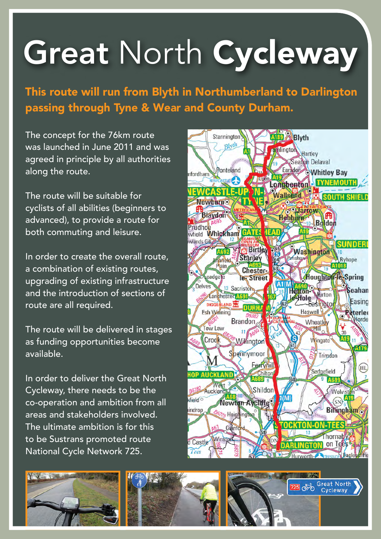## Great North Cycleway

This route will run from Blyth in Northumberland to Darlington passing through Tyne & Wear and County Durham.

The concept for the 76km route was launched in June 2011 and was agreed in principle by all authorities along the route.

The route will be suitable for cyclists of all abilities (beginners to advanced), to provide a route for both commuting and leisure.

In order to create the overall route, a combination of existing routes, upgrading of existing infrastructure and the introduction of sections of route are all required.

The route will be delivered in stages as funding opportunities become available.

In order to deliver the Great North Cycleway, there needs to be the co-operation and ambition from all areas and stakeholders involved. The ultimate ambition is for this to be Sustrans promoted route National Cycle Network 725.